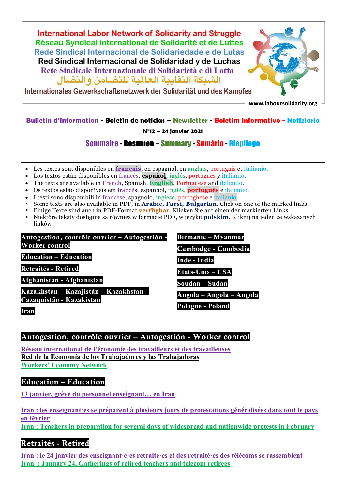

Internationales Gewerkschaftsnetzwerk der Solidarität und des Kampfes

**www.laboursolidarity.org**

#### **Bulletin d'information - Boletín de noticias – Newsletter - Boletim Informativo - Notiziario**

**N°12 – 24 janvier 2021**

#### Sommaire - Resumen – Summary - Sumário - Riepilego

- Les textes sont disponibles en **français**, en espagnol, en anglais, portugais et italianio.
- Los textos están disponibles en francés, **español**, inglés, portugués y italianio.
- The texts are available in French, Spanish, **English**, Portuguese and italianio.
- Os textos estão disponíveis em francês, espanhol, inglês, **português** e italianio.
- I testi sono disponibili in francese, spagnolo, inglese, portoghese e italianio.
- Some texts are also available in PDF, in **Arabic, Farsi, Bulgarian**. Click on one of the marked links
- Einige Texte sind auch in PDF-Format **verfügbar**. Klicken Sie auf einen der markierten Links
- Niektóre teksty dostępne są również w formacie PDF, w języku **polskim**. Kliknij na jeden ze wskazanych linków

Autogestion, contrôle ouvrier – Autogestión - Worker control

**Education – Education**

**Retraités - Retired**

**Afghanistan - Afghanistan**

**Kazakhstan – Kazajistán – Kazakhstan – Cazaquistão - Kazakistan**

**Iran**

**Birmanie – Myanmar**

Cambodge - Cambodia

**Inde - India**

**Etats-Unis – USA**

**Soudan – Sudan**

**Angola – Angola – Angola**

**Pologne - Poland**

#### Autogestion, contrôle ouvrier – Autogestión - Worker control

**[Réseau international de l'économie des travailleurs et des travailleuses](http://www.laboursolidarity.org/Reseau-international-de-l-economie) Red de la Economía [de los Trabajadores y las Trabajadoras](http://www.laboursolidarity.org/Red-de-la-Economia-de-los?lang=es) [Workers' Economy Network](http://www.laboursolidarity.org/Workers-Economy-Network?lang=en)**

#### Education – Education

**[13 janvier, grève du personnel enseignant… en Iran](http://www.laboursolidarity.org/13-janvier-greve-du-personnel)**

**[Iran : les enseignant·es se préparent à plusieurs jours de protestations généralisées dans tout le pays](http://www.laboursolidarity.org/Iran-les-enseignant-es-se)  [en février](http://www.laboursolidarity.org/Iran-les-enseignant-es-se) [Iran : Teachers in preparation for several days of widespread and nationwide protests in February](http://www.laboursolidarity.org/Iran-Teachers-in-preparation-for?lang=en)**

# Retraités - Retired

**[Iran : le 24 janvier des enseignant·e·es retraité·es et des retraité·es des télécoms se rassemblent](http://www.laboursolidarity.org/Iran-le-24-janvier-des-enseignant) [Iran : January 24, Gatherings of retired teachers and telecom retirees](http://www.laboursolidarity.org/Iran-January-24-Gatherings-of?lang=en)**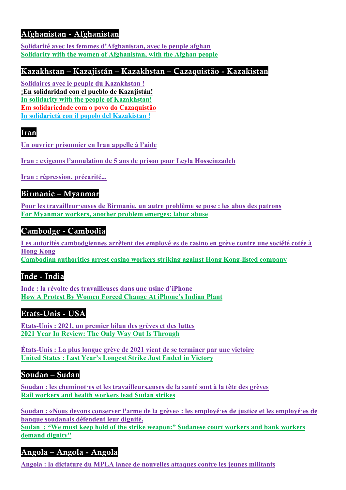# Afghanistan - Afghanistan

**[Solidarité avec les femmes d'Afghanistan, avec le peuple afghan](http://www.laboursolidarity.org/Solidarite-avec-les-femmes-d) [Solidarity with the women of Afghanistan, with the Afghan people](http://www.laboursolidarity.org/Solidarity-with-the-women-of?lang=en)**

## Kazakhstan – Kazajistán – Kazakhstan – Cazaquistão - Kazakistan

**[Solidaires avec le peuple du](http://www.laboursolidarity.org/Solidaires-avec-le-peuple-du) Kazakhstan ! [¡En solidaridad con el pueblo de Kazajistán!](http://www.laboursolidarity.org/En-solidaridad-con-el-pueblo-de?lang=es) [In solidarity with the people of](http://www.laboursolidarity.org/In-solidarity-with-the-people-of?lang=en) Kazakhstan! [Em solidariedade com o povo do Cazaquistão](http://www.laboursolidarity.org/Em-solidariedade-com-o-povo-do?lang=pt) [In solidarietà con il popolo del Kazakistan !](http://www.laboursolidarity.org/In-solidarieta-con-il-popolo-del?lang=it)**

# Iran

**[Un ouvrier prisonnier en Iran appelle à l'aide](https://www.laboursolidarity.org/Un-ouvrier-prisonnier-en-Iran)**

**[Iran : exigeons l'annulation de 5 ans de prison pour Leyla Hosseinzadeh](http://www.laboursolidarity.org/Le-pouvoir-judiciaire-iranien-a)**

**[Iran : répression, précarité...](http://www.laboursolidarity.org/Iran-repression-precarite)**

### Birmanie – Myanmar

**[Pour les travailleur·euses de Birmanie, un autre problème se pose : les abus des patrons](http://www.laboursolidarity.org/Pour-les-travailleur-euses-de) [For Myanmar workers, another problem emerges: labor abuse](http://www.laboursolidarity.org/For-Myanmar-workers-another?lang=en)**

### Cambodge - Cambodia

**[Les autorités cambodgiennes arrêtent des employé·es de casino en grève contre une société cotée à](http://www.laboursolidarity.org/Les-autorites-cambodgiennes)  [Hong Kong](http://www.laboursolidarity.org/Les-autorites-cambodgiennes) [Cambodian authorities arrest casino workers striking against Hong Kong-listed company](http://www.laboursolidarity.org/Cambodian-authorities-arrest?lang=en)**

# Inde - India

**[Inde : la révolte des travailleuses dans une usine d'iPhone](http://www.laboursolidarity.org/Inde-la-revolte-des-travailleuses) [How A Protest By Women Forced Change At iPhone's Indian Plant](http://www.laboursolidarity.org/How-A-Protest-By-Women-Forced)**

### Etats-Unis - USA

**[Etats-Unis : 2021, un premier bilan des grèves et des luttes](http://www.laboursolidarity.org/Etats-Unis-2021-un-premier-bilan) [2021 Year In Review: The Only Way Out Is Through](http://www.laboursolidarity.org/2021-Year-In-Review-The-Only-Way)**

**[États-Unis : La plus longue grève de 2021 vient de se terminer par une victoire](http://www.laboursolidarity.org/Etats-Unis-La-plus-longue-greve-de) [United States : Last Year's Longest Strike Just Ended in Victory](http://www.laboursolidarity.org/United-States-Last-Year-s-Longest?lang=en)**

### Soudan – Sudan

**[Soudan : les cheminot·es et les travailleurs.euses de la santé sont à la tête des grèves](http://www.laboursolidarity.org/Soudan-les-cheminot-es-et-les) [Rail workers and health workers lead Sudan strikes](http://www.laboursolidarity.org/Rail-workers-and-health-workers?lang=en)**

**[Soudan : «Nous devons conserver l'arme de la grève» : les employé·es de justice et les employé·es de](http://www.laboursolidarity.org/Soudan-Nous-devons-conserver-l)  [banque soudanais défendent leur dignité.](http://www.laboursolidarity.org/Soudan-Nous-devons-conserver-l) [Sudan : "We must keep hold of the strike weapon:" Sudanese court workers and bank workers](http://www.laboursolidarity.org/Sudan-We-must-keep-hold-of-the?lang=en)  [demand dignity"](http://www.laboursolidarity.org/Sudan-We-must-keep-hold-of-the?lang=en)**

# Angola – Angola - Angola

**[Angola : la dictature du MPLA lance de nouvelles attaques contre les jeunes militants](http://www.laboursolidarity.org/Angola-la-dictature-du-MPLA-lance)**